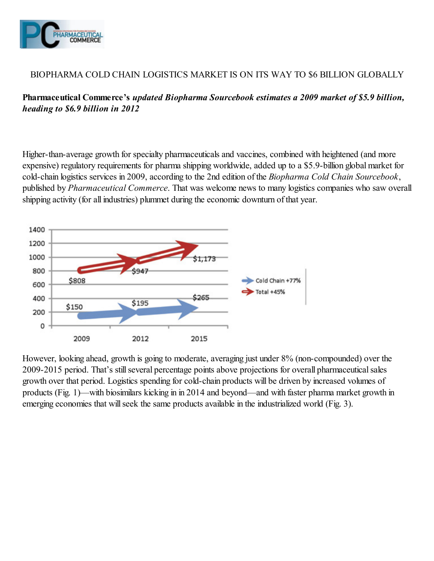

## BIOPHARMA COLD CHAIN LOGISTICS MARKET IS ON ITS WAY TO \$6 BILLION GLOBALLY

Pharmaceutical Commerce's updated Biopharma Sourcebook estimates a 2009 market of \$5.9 billion, heading to \$6.9 billion in 2012

Higher-than-average growth for specialty pharmaceuticals and vaccines, combined with heightened (and more expensive) regulatory requirements for pharma shipping worldwide, added up to a \$5.9-billion global market for cold-chain logistics services in 2009, according to the 2nd edition of the Biopharma Cold Chain Sourcebook, published by Pharmaceutical Commerce. That was welcome news to many logistics companies who saw overall shipping activity (for all industries) plummet during the economic downturn of that year.



However, looking ahead, growth is going to moderate, averaging just under 8% (non-compounded) over the 2009-2015 period. That's still several percentage points above projections for overall pharmaceutical sales growth over that period. Logistics spending for cold-chain products will be driven by increased volumes of products (Fig. 1)—with biosimilars kicking in in 2014 and beyond—and with faster pharma market growth in emerging economies that will seek the same products available in the industrialized world (Fig. 3).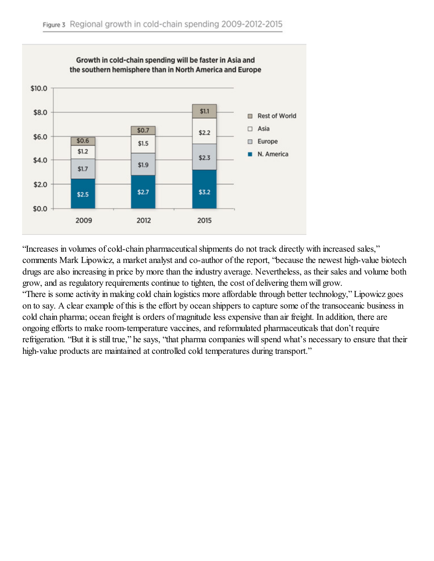

"Increases in volumes of cold-chain pharmaceutical shipments do not track directly with increased sales," comments Mark Lipowicz, a market analyst and co-author of the report, "because the newest high-value biotech drugs are also increasing in price by more than the industry average. Nevertheless, as their sales and volume both grow, and as regulatory requirements continue to tighten, the cost of delivering them will grow. "There is some activity in making cold chain logistics more affordable through better technology," Lipowicz goes on to say. A clear example of this is the effort by ocean shippers to capture some of the transoceanic business in cold chain pharma; ocean freight is orders of magnitude less expensive than air freight. In addition, there are ongoing efforts to make room-temperature vaccines, and reformulated pharmaceuticals that don't require refrigeration. "But it is still true," he says, "that pharma companies will spend what's necessary to ensure that their high-value products are maintained at controlled cold temperatures during transport."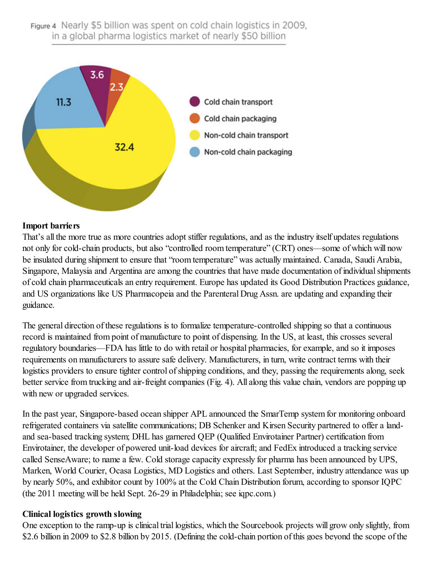## Figure 4 Nearly \$5 billion was spent on cold chain logistics in 2009. in a global pharma logistics market of nearly \$50 billion



## Import barriers

That's all the more true as more countries adopt stiffer regulations, and as the industry itself updates regulations not only for cold-chain products, but also "controlled room temperature" (CRT) ones—some of which will now be insulated during shipment to ensure that "room temperature" was actually maintained. Canada, Saudi Arabia, Singapore, Malaysia and Argentina are among the countries that have made documentation of individual shipments of cold chain pharmaceuticals an entry requirement. Europe has updated its Good Distribution Practices guidance, and US organizations like US Pharmacopeia and the Parenteral Drug Assn. are updating and expanding their guidance.

The general direction of these regulations is to formalize temperature-controlled shipping so that a continuous record is maintained from point of manufacture to point of dispensing. In the US, at least, this crosses several regulatory boundaries—FDA has little to do with retail or hospital pharmacies, for example, and so it imposes requirements on manufacturers to assure safe delivery. Manufacturers, in turn, write contract terms with their logistics providers to ensure tighter control of shipping conditions, and they, passing the requirements along, seek better service from trucking and air-freight companies (Fig. 4). All along this value chain, vendors are popping up with new or upgraded services.

In the past year, Singapore-based ocean shipper APL announced the SmarTemp system for monitoring onboard refrigerated containers via satellite communications; DB Schenker and Kirsen Security partnered to offer a landand sea-based tracking system; DHL has garnered QEP (Qualified Envirotainer Partner) certification from Envirotainer, the developer of powered unit-load devices for aircraft; and FedEx introduced a tracking service called SenseAware; to name a few. Cold storage capacity expressly for pharma has been announced by UPS, Marken, World Courier, Ocasa Logistics, MD Logistics and others. Last September, industry attendance was up by nearly 50%, and exhibitor count by 100% at the Cold Chain Distribution forum, according to sponsor IQPC (the 2011 meeting will be held Sept. 26-29 in Philadelphia; see iqpc.com.)

## Clinical logistics growth slowing

One exception to the ramp-up is clinical trial logistics, which the Sourcebook projects will grow only slightly, from \$2.6 billion in 2009 to \$2.8 billion by 2015. (Defining the cold-chain portion of this goes beyond the scope of the